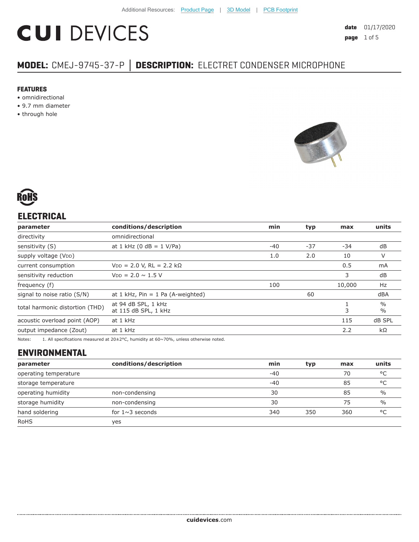# **CUI DEVICES**

# **MODEL:** CMEJ-9745-37-P **│ DESCRIPTION:** ELECTRET CONDENSER MICROPHONE

#### **FEATURES**

- omnidirectional
- 9.7 mm diameter
- through hole





# **ELECTRICAL**

| parameter                       | conditions/description                      | min           | typ   | max    | units                          |
|---------------------------------|---------------------------------------------|---------------|-------|--------|--------------------------------|
| directivity                     | omnidirectional                             |               |       |        |                                |
| sensitivity (S)                 | at 1 kHz (0 dB = $1$ V/Pa)                  | $-40$         | $-37$ | -34    | dB                             |
| supply voltage (VDD)            |                                             | 1.0           | 2.0   | 10     | V                              |
| current consumption             | $VDD = 2.0 V, RL = 2.2 k\Omega$             |               |       | 0.5    | mA                             |
| sensitivity reduction           | $V_{DD} = 2.0 \sim 1.5 V$                   |               |       | 3      | dB                             |
| frequency (f)                   |                                             | 100<br>10,000 |       | Hz     |                                |
| signal to noise ratio (S/N)     | at $1$ kHz, Pin = $1$ Pa (A-weighted)       |               | 60    |        | dBA                            |
| total harmonic distortion (THD) | at 94 dB SPL, 1 kHz<br>at 115 dB SPL, 1 kHz | 3             |       |        | $\frac{0}{0}$<br>$\frac{0}{0}$ |
| acoustic overload point (AOP)   | at 1 kHz                                    | 115           |       | dB SPL |                                |
| output impedance (Zout)         | at 1 kHz                                    |               |       | 2.2    | $k\Omega$                      |
|                                 |                                             |               |       |        |                                |

Notes: 1. All specifications measured at 20±2°C, humidity at 60~70%, unless otherwise noted.

# **ENVIRONMENTAL**

| parameter             | conditions/description | min   | typ | max | units         |
|-----------------------|------------------------|-------|-----|-----|---------------|
| operating temperature |                        | $-40$ |     | 70  | °C            |
| storage temperature   |                        | $-40$ |     | 85  | °C            |
| operating humidity    | non-condensing         | 30    |     | 85  | $\frac{0}{0}$ |
| storage humidity      | non-condensing         | 30    |     | 75  | $\%$          |
| hand soldering        | for $1 \sim 3$ seconds | 340   | 350 | 360 | $^{\circ}$ C  |
| <b>RoHS</b>           | ves                    |       |     |     |               |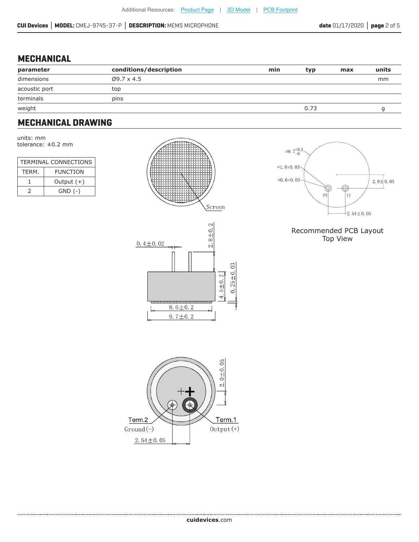#### **MECHANICAL**

| parameter     | conditions/description | min | typ  | max | units |
|---------------|------------------------|-----|------|-----|-------|
| dimensions    | $Ø9.7 \times 4.5$      |     |      |     | mm    |
| acoustic port | top                    |     |      |     |       |
| terminals     | pins                   |     |      |     |       |
| weight        |                        |     | 0.73 |     |       |

# **MECHANICAL DRAWING**

units: mm tolerance: ±0.2 mm

| TERMINAL CONNECTIONS |                 |  |
|----------------------|-----------------|--|
| TERM.                | <b>FUNCTION</b> |  |
|                      | Output $(+)$    |  |
|                      | $GND$ $(-)$     |  |







#### Recommended PCB Layout Top View

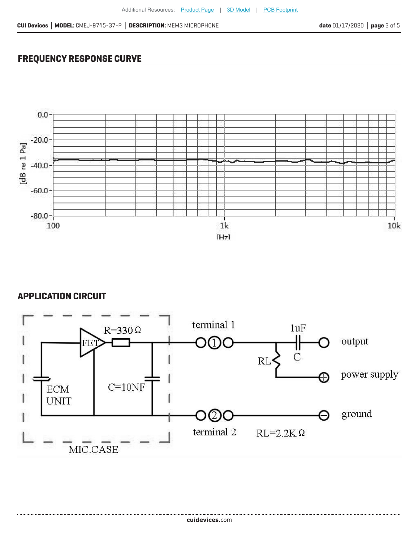## **FREQUENCY RESPONSE CURVE**



### **APPLICATION CIRCUIT**

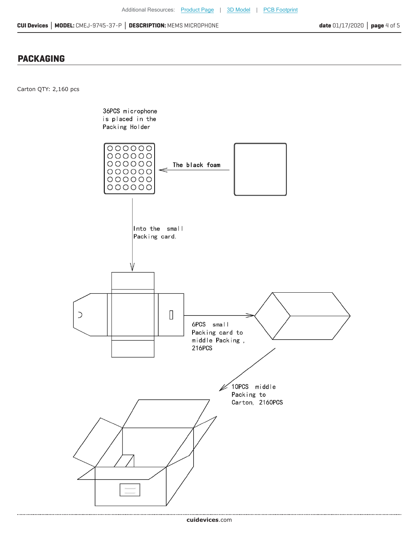### **PACKAGING**

Carton QTY: 2,160 pcs